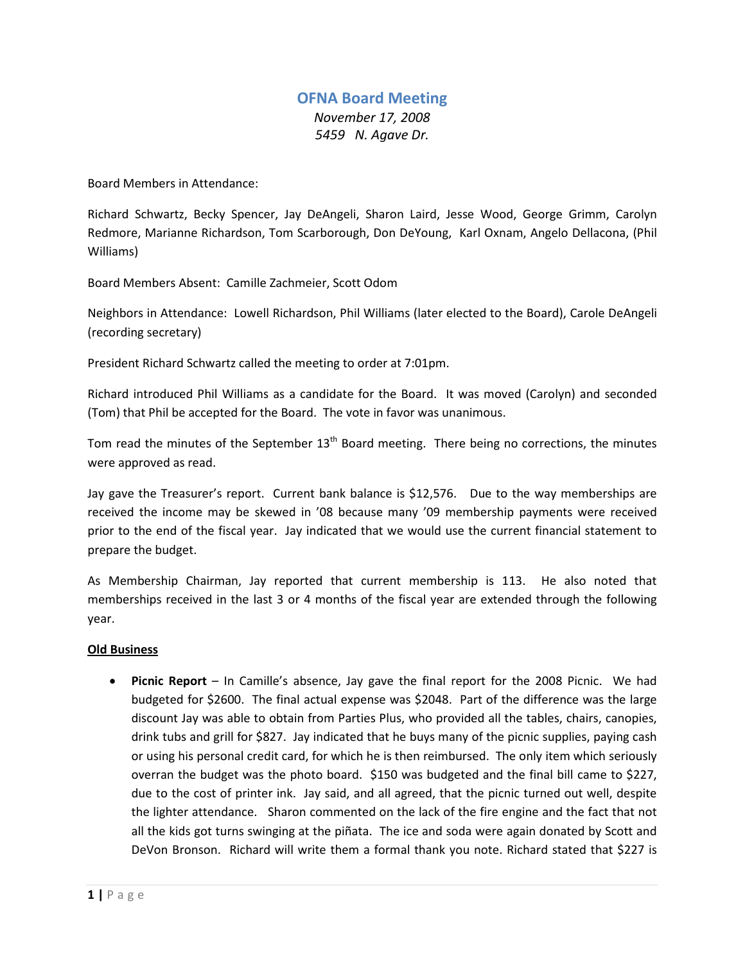## **OFNA Board Meeting** *November 17, 2008 5459 N. Agave Dr.*

Board Members in Attendance:

Richard Schwartz, Becky Spencer, Jay DeAngeli, Sharon Laird, Jesse Wood, George Grimm, Carolyn Redmore, Marianne Richardson, Tom Scarborough, Don DeYoung, Karl Oxnam, Angelo Dellacona, (Phil Williams)

Board Members Absent: Camille Zachmeier, Scott Odom

Neighbors in Attendance: Lowell Richardson, Phil Williams (later elected to the Board), Carole DeAngeli (recording secretary)

President Richard Schwartz called the meeting to order at 7:01pm.

Richard introduced Phil Williams as a candidate for the Board. It was moved (Carolyn) and seconded (Tom) that Phil be accepted for the Board. The vote in favor was unanimous.

Tom read the minutes of the September  $13<sup>th</sup>$  Board meeting. There being no corrections, the minutes were approved as read.

Jay gave the Treasurer's report. Current bank balance is \$12,576. Due to the way memberships are received the income may be skewed in '08 because many '09 membership payments were received prior to the end of the fiscal year. Jay indicated that we would use the current financial statement to prepare the budget.

As Membership Chairman, Jay reported that current membership is 113. He also noted that memberships received in the last 3 or 4 months of the fiscal year are extended through the following year.

## **Old Business**

• **Picnic Report** – In Camille's absence, Jay gave the final report for the 2008 Picnic. We had budgeted for \$2600. The final actual expense was \$2048. Part of the difference was the large discount Jay was able to obtain from Parties Plus, who provided all the tables, chairs, canopies, drink tubs and grill for \$827. Jay indicated that he buys many of the picnic supplies, paying cash or using his personal credit card, for which he is then reimbursed. The only item which seriously overran the budget was the photo board. \$150 was budgeted and the final bill came to \$227, due to the cost of printer ink. Jay said, and all agreed, that the picnic turned out well, despite the lighter attendance. Sharon commented on the lack of the fire engine and the fact that not all the kids got turns swinging at the piñata. The ice and soda were again donated by Scott and DeVon Bronson. Richard will write them a formal thank you note. Richard stated that \$227 is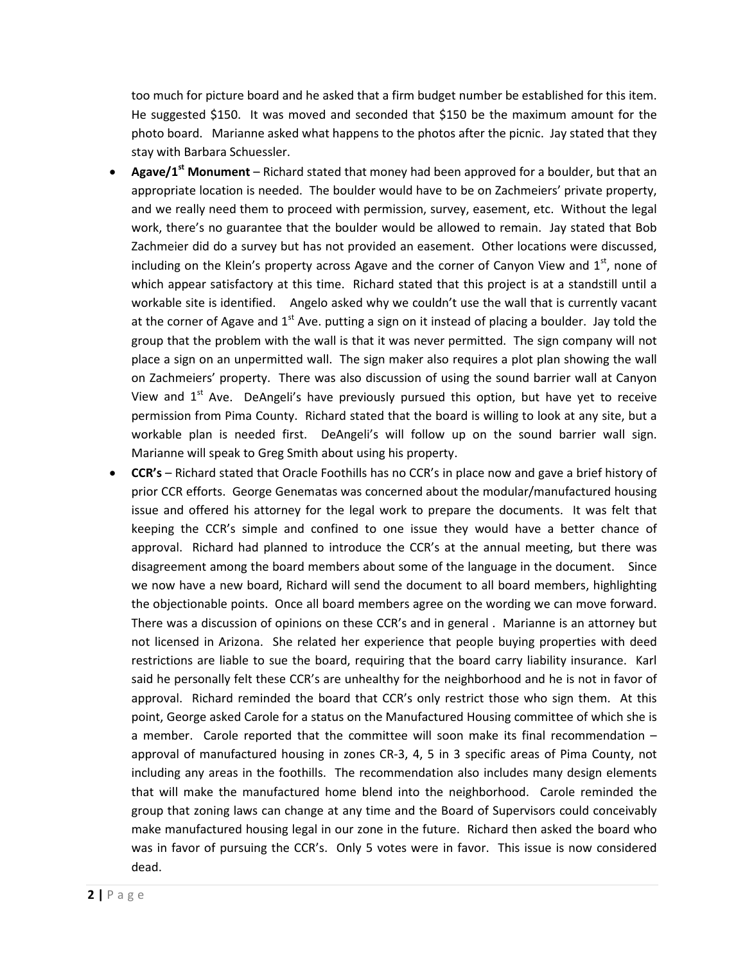too much for picture board and he asked that a firm budget number be established for this item. He suggested \$150. It was moved and seconded that \$150 be the maximum amount for the photo board. Marianne asked what happens to the photos after the picnic. Jay stated that they stay with Barbara Schuessler.

- **Agave/1st Monument** Richard stated that money had been approved for a boulder, but that an appropriate location is needed. The boulder would have to be on Zachmeiers' private property, and we really need them to proceed with permission, survey, easement, etc. Without the legal work, there's no guarantee that the boulder would be allowed to remain. Jay stated that Bob Zachmeier did do a survey but has not provided an easement. Other locations were discussed, including on the Klein's property across Agave and the corner of Canyon View and  $1<sup>st</sup>$ , none of which appear satisfactory at this time. Richard stated that this project is at a standstill until a workable site is identified. Angelo asked why we couldn't use the wall that is currently vacant at the corner of Agave and  $1<sup>st</sup>$  Ave. putting a sign on it instead of placing a boulder. Jay told the group that the problem with the wall is that it was never permitted. The sign company will not place a sign on an unpermitted wall. The sign maker also requires a plot plan showing the wall on Zachmeiers' property. There was also discussion of using the sound barrier wall at Canyon View and  $1<sup>st</sup>$  Ave. DeAngeli's have previously pursued this option, but have yet to receive permission from Pima County. Richard stated that the board is willing to look at any site, but a workable plan is needed first. DeAngeli's will follow up on the sound barrier wall sign. Marianne will speak to Greg Smith about using his property.
- **CCR's**  Richard stated that Oracle Foothills has no CCR's in place now and gave a brief history of prior CCR efforts. George Genematas was concerned about the modular/manufactured housing issue and offered his attorney for the legal work to prepare the documents. It was felt that keeping the CCR's simple and confined to one issue they would have a better chance of approval. Richard had planned to introduce the CCR's at the annual meeting, but there was disagreement among the board members about some of the language in the document. Since we now have a new board, Richard will send the document to all board members, highlighting the objectionable points. Once all board members agree on the wording we can move forward. There was a discussion of opinions on these CCR's and in general . Marianne is an attorney but not licensed in Arizona. She related her experience that people buying properties with deed restrictions are liable to sue the board, requiring that the board carry liability insurance. Karl said he personally felt these CCR's are unhealthy for the neighborhood and he is not in favor of approval. Richard reminded the board that CCR's only restrict those who sign them. At this point, George asked Carole for a status on the Manufactured Housing committee of which she is a member. Carole reported that the committee will soon make its final recommendation – approval of manufactured housing in zones CR-3, 4, 5 in 3 specific areas of Pima County, not including any areas in the foothills. The recommendation also includes many design elements that will make the manufactured home blend into the neighborhood. Carole reminded the group that zoning laws can change at any time and the Board of Supervisors could conceivably make manufactured housing legal in our zone in the future. Richard then asked the board who was in favor of pursuing the CCR's. Only 5 votes were in favor. This issue is now considered dead.